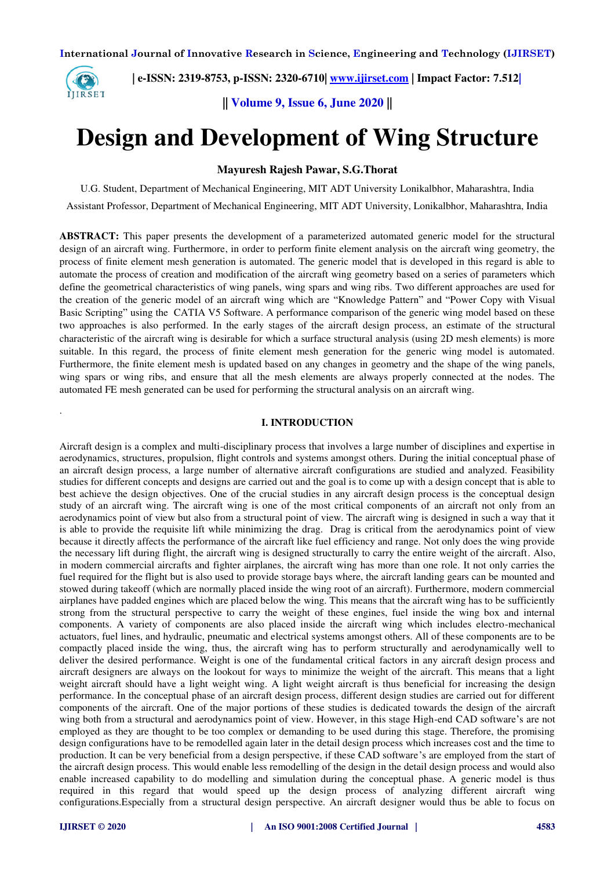

.

 **| e-ISSN: 2319-8753, p-ISSN: 2320-6710| [www.ijirset.com](http://www.ijirset.com/) | Impact Factor: 7.512|**

**|| Volume 9, Issue 6, June 2020 ||** 

# **Design and Development of Wing Structure**

## **Mayuresh Rajesh Pawar, S.G.Thorat**

U.G. Student, Department of Mechanical Engineering, MIT ADT University Lonikalbhor, Maharashtra, India Assistant Professor, Department of Mechanical Engineering, MIT ADT University, Lonikalbhor, Maharashtra, India

**ABSTRACT:** This paper presents the development of a parameterized automated generic model for the structural design of an aircraft wing. Furthermore, in order to perform finite element analysis on the aircraft wing geometry, the process of finite element mesh generation is automated. The generic model that is developed in this regard is able to automate the process of creation and modification of the aircraft wing geometry based on a series of parameters which define the geometrical characteristics of wing panels, wing spars and wing ribs. Two different approaches are used for the creation of the generic model of an aircraft wing which are "Knowledge Pattern" and "Power Copy with Visual Basic Scripting" using the CATIA V5 Software. A performance comparison of the generic wing model based on these two approaches is also performed. In the early stages of the aircraft design process, an estimate of the structural characteristic of the aircraft wing is desirable for which a surface structural analysis (using 2D mesh elements) is more suitable. In this regard, the process of finite element mesh generation for the generic wing model is automated. Furthermore, the finite element mesh is updated based on any changes in geometry and the shape of the wing panels, wing spars or wing ribs, and ensure that all the mesh elements are always properly connected at the nodes. The automated FE mesh generated can be used for performing the structural analysis on an aircraft wing.

## **I. INTRODUCTION**

Aircraft design is a complex and multi-disciplinary process that involves a large number of disciplines and expertise in aerodynamics, structures, propulsion, flight controls and systems amongst others. During the initial conceptual phase of an aircraft design process, a large number of alternative aircraft configurations are studied and analyzed. Feasibility studies for different concepts and designs are carried out and the goal is to come up with a design concept that is able to best achieve the design objectives. One of the crucial studies in any aircraft design process is the conceptual design study of an aircraft wing. The aircraft wing is one of the most critical components of an aircraft not only from an aerodynamics point of view but also from a structural point of view. The aircraft wing is designed in such a way that it is able to provide the requisite lift while minimizing the drag. Drag is critical from the aerodynamics point of view because it directly affects the performance of the aircraft like fuel efficiency and range. Not only does the wing provide the necessary lift during flight, the aircraft wing is designed structurally to carry the entire weight of the aircraft. Also, in modern commercial aircrafts and fighter airplanes, the aircraft wing has more than one role. It not only carries the fuel required for the flight but is also used to provide storage bays where, the aircraft landing gears can be mounted and stowed during takeoff (which are normally placed inside the wing root of an aircraft). Furthermore, modern commercial airplanes have padded engines which are placed below the wing. This means that the aircraft wing has to be sufficiently strong from the structural perspective to carry the weight of these engines, fuel inside the wing box and internal components. A variety of components are also placed inside the aircraft wing which includes electro-mechanical actuators, fuel lines, and hydraulic, pneumatic and electrical systems amongst others. All of these components are to be compactly placed inside the wing, thus, the aircraft wing has to perform structurally and aerodynamically well to deliver the desired performance. Weight is one of the fundamental critical factors in any aircraft design process and aircraft designers are always on the lookout for ways to minimize the weight of the aircraft. This means that a light weight aircraft should have a light weight wing. A light weight aircraft is thus beneficial for increasing the design performance. In the conceptual phase of an aircraft design process, different design studies are carried out for different components of the aircraft. One of the major portions of these studies is dedicated towards the design of the aircraft wing both from a structural and aerodynamics point of view. However, in this stage High-end CAD software's are not employed as they are thought to be too complex or demanding to be used during this stage. Therefore, the promising design configurations have to be remodelled again later in the detail design process which increases cost and the time to production. It can be very beneficial from a design perspective, if these CAD software's are employed from the start of the aircraft design process. This would enable less remodelling of the design in the detail design process and would also enable increased capability to do modelling and simulation during the conceptual phase. A generic model is thus required in this regard that would speed up the design process of analyzing different aircraft wing configurations.Especially from a structural design perspective. An aircraft designer would thus be able to focus on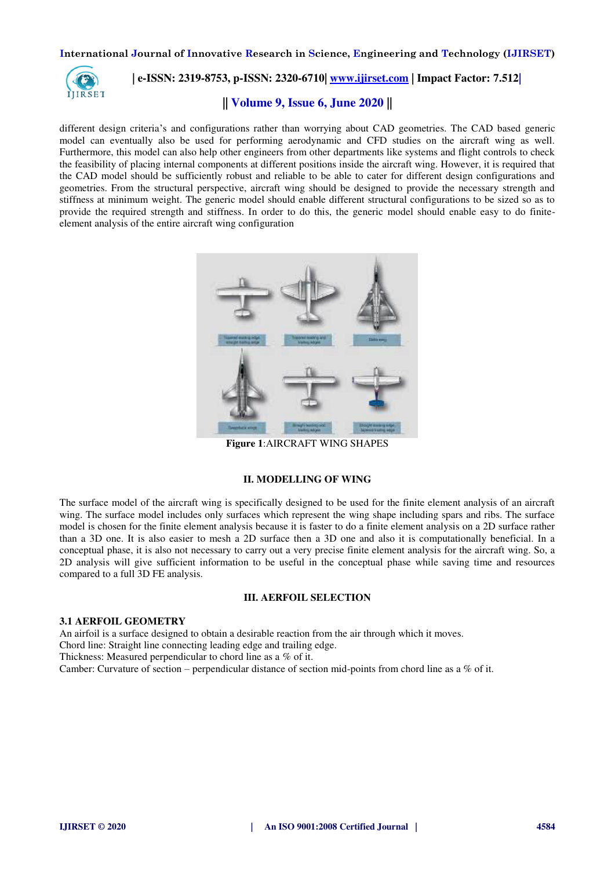

# **| e-ISSN: 2319-8753, p-ISSN: 2320-6710| [www.ijirset.com](http://www.ijirset.com/) | Impact Factor: 7.512|**

## **|| Volume 9, Issue 6, June 2020 ||**

different design criteria's and configurations rather than worrying about CAD geometries. The CAD based generic model can eventually also be used for performing aerodynamic and CFD studies on the aircraft wing as well. Furthermore, this model can also help other engineers from other departments like systems and flight controls to check the feasibility of placing internal components at different positions inside the aircraft wing. However, it is required that the CAD model should be sufficiently robust and reliable to be able to cater for different design configurations and geometries. From the structural perspective, aircraft wing should be designed to provide the necessary strength and stiffness at minimum weight. The generic model should enable different structural configurations to be sized so as to provide the required strength and stiffness. In order to do this, the generic model should enable easy to do finiteelement analysis of the entire aircraft wing configuration



**Figure 1**:AIRCRAFT WING SHAPES

## **II. MODELLING OF WING**

The surface model of the aircraft wing is specifically designed to be used for the finite element analysis of an aircraft wing. The surface model includes only surfaces which represent the wing shape including spars and ribs. The surface model is chosen for the finite element analysis because it is faster to do a finite element analysis on a 2D surface rather than a 3D one. It is also easier to mesh a 2D surface then a 3D one and also it is computationally beneficial. In a conceptual phase, it is also not necessary to carry out a very precise finite element analysis for the aircraft wing. So, a 2D analysis will give sufficient information to be useful in the conceptual phase while saving time and resources compared to a full 3D FE analysis.

## **III. AERFOIL SELECTION**

#### **3.1 AERFOIL GEOMETRY**

An airfoil is a surface designed to obtain a desirable reaction from the air through which it moves.

Chord line: Straight line connecting leading edge and trailing edge.

Thickness: Measured perpendicular to chord line as a % of it.

Camber: Curvature of section – perpendicular distance of section mid-points from chord line as a % of it.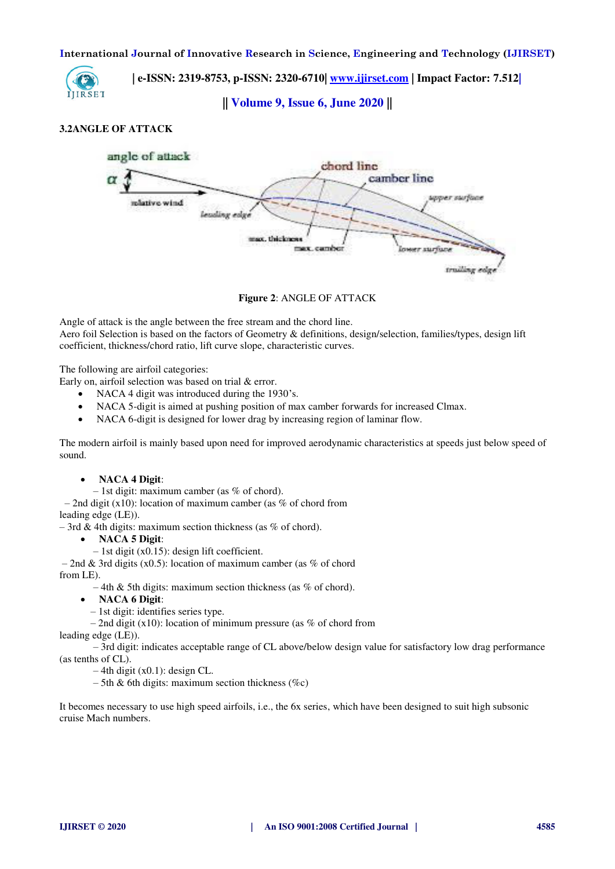

 **| e-ISSN: 2319-8753, p-ISSN: 2320-6710| [www.ijirset.com](http://www.ijirset.com/) | Impact Factor: 7.512|**

**|| Volume 9, Issue 6, June 2020 ||** 

## **3.2ANGLE OF ATTACK**



**Figure 2**: ANGLE OF ATTACK

Angle of attack is the angle between the free stream and the chord line.

Aero foil Selection is based on the factors of Geometry & definitions, design/selection, families/types, design lift coefficient, thickness/chord ratio, lift curve slope, characteristic curves.

The following are airfoil categories:

Early on, airfoil selection was based on trial & error.

- NACA 4 digit was introduced during the 1930's.
- NACA 5-digit is aimed at pushing position of max camber forwards for increased Clmax.
- NACA 6-digit is designed for lower drag by increasing region of laminar flow.

The modern airfoil is mainly based upon need for improved aerodynamic characteristics at speeds just below speed of sound.

**NACA 4 Digit**:

 $-1$ st digit: maximum camber (as % of chord).

– 2nd digit (x10): location of maximum camber (as  $\%$  of chord from leading edge (LE)).

– 3rd & 4th digits: maximum section thickness (as  $\%$  of chord).

- **NACA 5 Digit**:
- 1st digit (x0.15): design lift coefficient.

– 2nd & 3rd digits (x0.5): location of maximum camber (as % of chord from LE).

 $-4$ th & 5th digits: maximum section thickness (as % of chord).

- **NACA 6 Digit**:
	- 1st digit: identifies series type.
	- $-$  2nd digit (x10): location of minimum pressure (as % of chord from

leading edge (LE)).

 – 3rd digit: indicates acceptable range of CL above/below design value for satisfactory low drag performance (as tenths of CL).

 $-4$ th digit (x0.1): design CL.

 $-5$ th & 6th digits: maximum section thickness (%c)

It becomes necessary to use high speed airfoils, i.e., the 6x series, which have been designed to suit high subsonic cruise Mach numbers.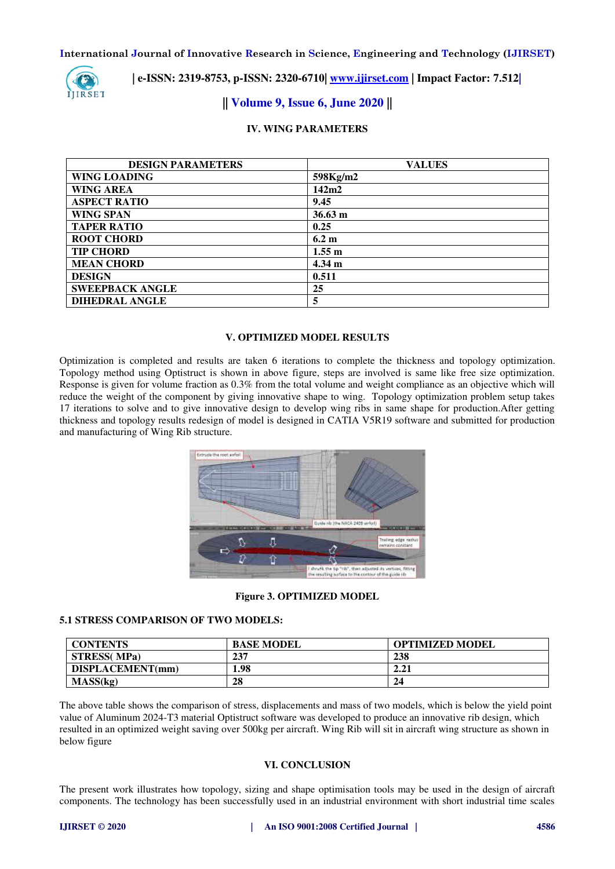

 **| e-ISSN: 2319-8753, p-ISSN: 2320-6710| [www.ijirset.com](http://www.ijirset.com/) | Impact Factor: 7.512|**

# **|| Volume 9, Issue 6, June 2020 ||**

## **IV. WING PARAMETERS**

| <b>DESIGN PARAMETERS</b> | <b>VALUES</b>     |
|--------------------------|-------------------|
| <b>WING LOADING</b>      | 598Kg/m2          |
| <b>WING AREA</b>         | 142m2             |
| <b>ASPECT RATIO</b>      | 9.45              |
| <b>WING SPAN</b>         | $36.63 \text{ m}$ |
| <b>TAPER RATIO</b>       | 0.25              |
| <b>ROOT CHORD</b>        | 6.2 m             |
| <b>TIP CHORD</b>         | $1.55 \text{ m}$  |
| <b>MEAN CHORD</b>        | $4.34 \text{ m}$  |
| <b>DESIGN</b>            | 0.511             |
| <b>SWEEPBACK ANGLE</b>   | 25                |
| <b>DIHEDRAL ANGLE</b>    | 5                 |

## **V. OPTIMIZED MODEL RESULTS**

Optimization is completed and results are taken 6 iterations to complete the thickness and topology optimization. Topology method using Optistruct is shown in above figure, steps are involved is same like free size optimization. Response is given for volume fraction as 0.3% from the total volume and weight compliance as an objective which will reduce the weight of the component by giving innovative shape to wing. Topology optimization problem setup takes 17 iterations to solve and to give innovative design to develop wing ribs in same shape for production.After getting thickness and topology results redesign of model is designed in CATIA V5R19 software and submitted for production and manufacturing of Wing Rib structure.



### **Figure 3. OPTIMIZED MODEL**

### **5.1 STRESS COMPARISON OF TWO MODELS:**

| <b>CONTENTS</b>     | <b>BASE MODEL</b> | <b>OPTIMIZED MODEL</b> |
|---------------------|-------------------|------------------------|
| <b>STRESS</b> (MPa) | 237               | 238                    |
| DISPLACEMENT(mm)    | 1.98              | 2.21                   |
| MASS(kg)            | 28                | 24                     |

The above table shows the comparison of stress, displacements and mass of two models, which is below the yield point value of Aluminum 2024-T3 material Optistruct software was developed to produce an innovative rib design, which resulted in an optimized weight saving over 500kg per aircraft. Wing Rib will sit in aircraft wing structure as shown in below figure

### **VI. CONCLUSION**

The present work illustrates how topology, sizing and shape optimisation tools may be used in the design of aircraft components. The technology has been successfully used in an industrial environment with short industrial time scales